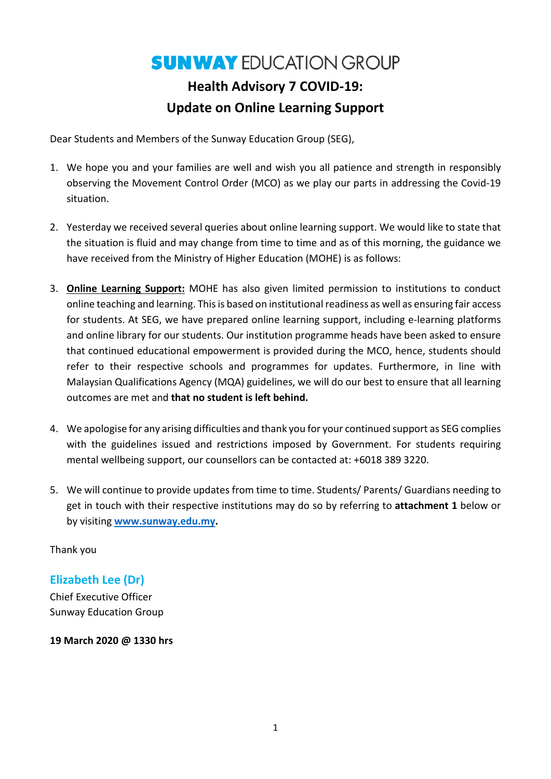# **SUNWAY EDUCATION GROUP**

## **Health Advisory 7 COVID-19: Update on Online Learning Support**

Dear Students and Members of the Sunway Education Group (SEG),

- 1. We hope you and your families are well and wish you all patience and strength in responsibly observing the Movement Control Order (MCO) as we play our parts in addressing the Covid-19 situation.
- 2. Yesterday we received several queries about online learning support. We would like to state that the situation is fluid and may change from time to time and as of this morning, the guidance we have received from the Ministry of Higher Education (MOHE) is as follows:
- 3. **Online Learning Support:** MOHE has also given limited permission to institutions to conduct online teaching and learning. This is based on institutional readiness as well as ensuring fair access for students. At SEG, we have prepared online learning support, including e-learning platforms and online library for our students. Our institution programme heads have been asked to ensure that continued educational empowerment is provided during the MCO, hence, students should refer to their respective schools and programmes for updates. Furthermore, in line with Malaysian Qualifications Agency (MQA) guidelines, we will do our best to ensure that all learning outcomes are met and **that no student is left behind.**
- 4. We apologise for any arising difficulties and thank you for your continued support as SEG complies with the guidelines issued and restrictions imposed by Government. For students requiring mental wellbeing support, our counsellors can be contacted at: +6018 389 3220.
- 5. We will continue to provide updates from time to time. Students/ Parents/ Guardians needing to get in touch with their respective institutions may do so by referring to **attachment 1** below or by visiting **[www.sunway.edu.my.](http://www.sunway.edu.my/)**

Thank you

**Elizabeth Lee (Dr)** Chief Executive Officer Sunway Education Group

**19 March 2020 @ 1330 hrs**